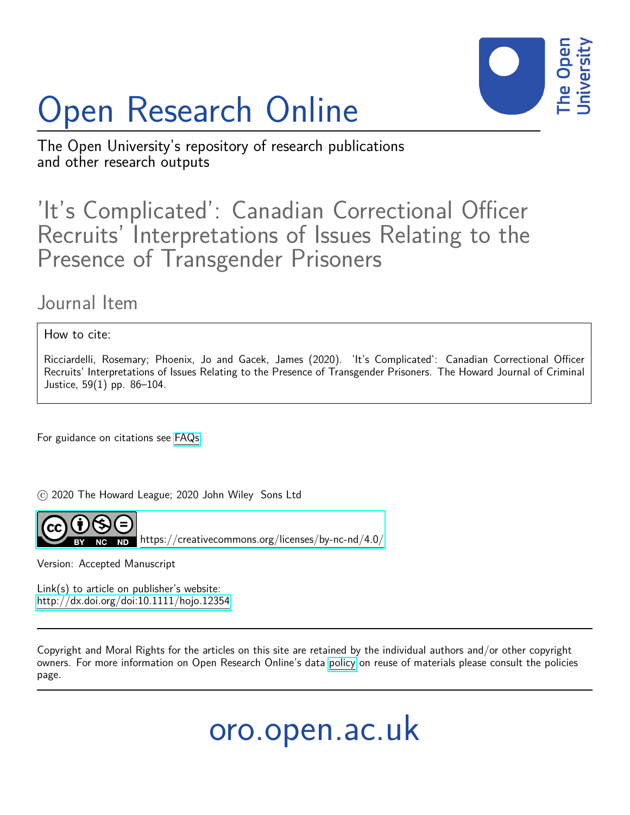

# Open Research Online

The Open University's repository of research publications and other research outputs

# 'It's Complicated': Canadian Correctional Officer Recruits' Interpretations of Issues Relating to the Presence of Transgender Prisoners

## Journal Item

How to cite:

Ricciardelli, Rosemary; Phoenix, Jo and Gacek, James (2020). 'It's Complicated': Canadian Correctional Officer Recruits' Interpretations of Issues Relating to the Presence of Transgender Prisoners. The Howard Journal of Criminal Justice, 59(1) pp. 86–104.

For guidance on citations see [FAQs.](http://oro.open.ac.uk/help/helpfaq.html)

c 2020 The Howard League; 2020 John Wiley Sons Ltd



<https://creativecommons.org/licenses/by-nc-nd/4.0/>

Version: Accepted Manuscript

Link(s) to article on publisher's website: <http://dx.doi.org/doi:10.1111/hojo.12354>

Copyright and Moral Rights for the articles on this site are retained by the individual authors and/or other copyright owners. For more information on Open Research Online's data [policy](http://oro.open.ac.uk/policies.html) on reuse of materials please consult the policies page.

oro.open.ac.uk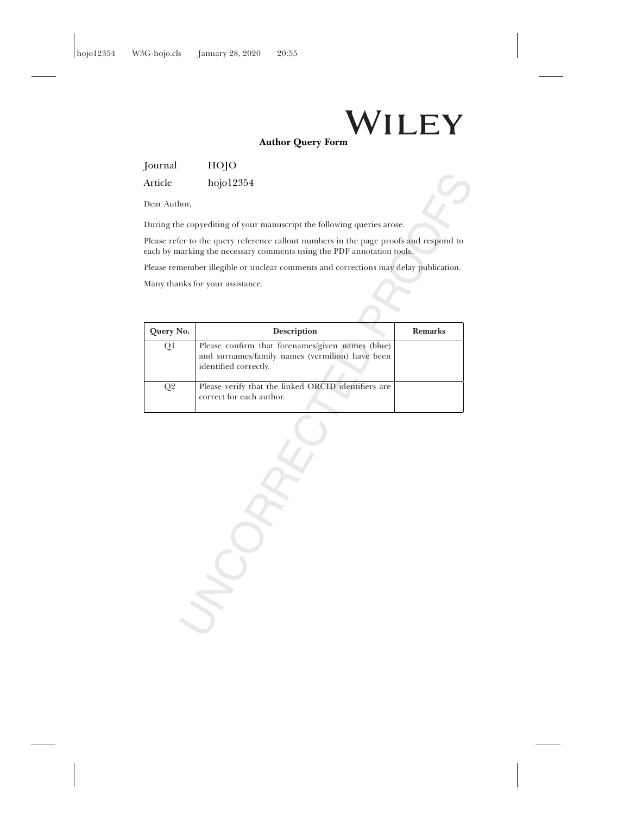### VILEY **Author Query Form**

Journal HOJO

Article hojo12354

Dear Author,

During the copyediting of your manuscript the following queries arose.

Please refer to the query reference callout numbers in the page proofs and respond to each by marking the necessary comments using the PDF annotation tools.

Please remember illegible or unclear comments and corrections may delay publication.

Many thanks for your assistance.

| Query No.      | <b>Description</b>                                                                                                           | <b>Remarks</b> |
|----------------|------------------------------------------------------------------------------------------------------------------------------|----------------|
| Ql             | Please confirm that forenames/given names (blue)<br>and surnames/family names (vermilion) have been<br>identified correctly. |                |
| Q <sub>2</sub> | Please verify that the linked ORCID identifiers are<br>correct for each author.                                              |                |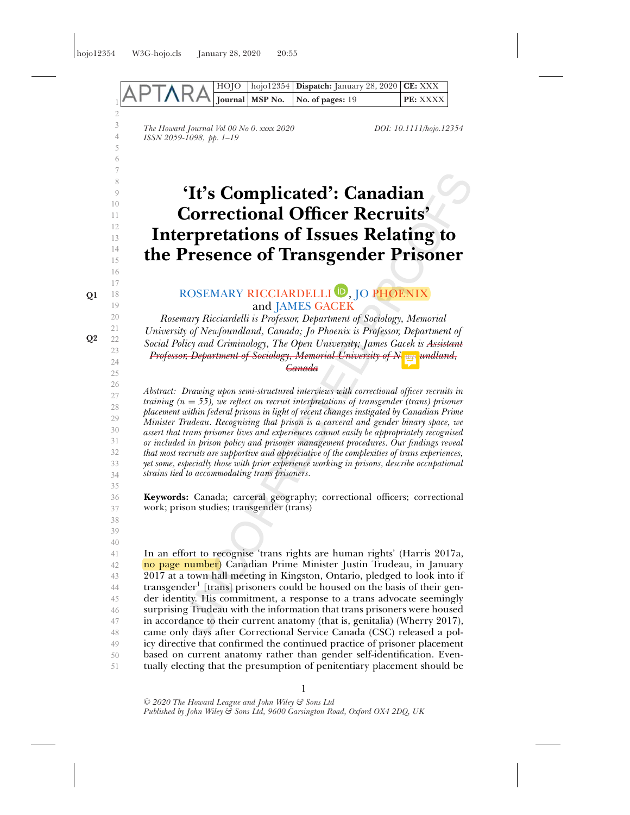**Q2**

|  | $\mathsf{APTARA}$ HOJO hojo12354 Dispatch: January 28, 2020 CE: XXX | PE: XXXX |
|--|---------------------------------------------------------------------|----------|

*The Howard Journal Vol 00 No 0. xxxx 2020 DOI: 10.1111/hojo.12354 ISSN 2059-1098, pp. 1–19*

### **'It's Complicated': Canadian Correctional Officer Recruits' Interpretations of Issues Relating to the Presence of Transgender Prisoner**

#### **Q1** 18 ROSEMARY RICCIARDELLI<sup>D</sup>[,](https://orcid.org/0000-0002-0905-8968) JO PHOENIX and JAMES GACEK

*Rosemary Ricciardelli is Professor, Department of Sociology, Memorial University of Newfoundland, Canada; Jo Phoenix is Professor, Department of Social Policy and Criminology, The Open University; James Gacek is Assistant Professor, Department of Sociology, Memorial University of Newfoundland, Canada*

*Abstract: Drawing upon semi-structured interviews with correctional officer recruits in training (n* = *55), we reflect on recruit interpretations of transgender (trans) prisoner placement within federal prisons in light of recent changes instigated by Canadian Prime Minister Trudeau. Recognising that prison is a carceral and gender binary space, we assert that trans prisoner lives and experiences cannot easily be appropriately recognised or included in prison policy and prisoner management procedures. Our findings reveal that most recruits are supportive and appreciative of the complexities of trans experiences, yet some, especially those with prior experience working in prisons, describe occupational strains tied to accommodating trans prisoners.*

**Keywords:** Canada; carceral geography; correctional officers; correctional work; prison studies; transgender (trans)

In an effort to recognise 'trans rights are human rights' (Harris 2017a, no page number) Canadian Prime Minister Justin Trudeau, in January 2017 at a town hall meeting in Kingston, Ontario, pledged to look into if transgender<sup>1</sup> [trans] prisoners could be housed on the basis of their gender identity. His commitment, a response to a trans advocate seemingly surprising Trudeau with the information that trans prisoners were housed in accordance to their current anatomy (that is, genitalia) (Wherry 2017), came only days after Correctional Service Canada (CSC) released a policy directive that confirmed the continued practice of prisoner placement based on current anatomy rather than gender self-identification. Eventually electing that the presumption of penitentiary placement should be

1 -<sup>C</sup> *2020 The Howard League and John Wiley & Sons Ltd Published by John Wiley & Sons Ltd, 9600 Garsington Road, Oxford OX4 2DQ, UK*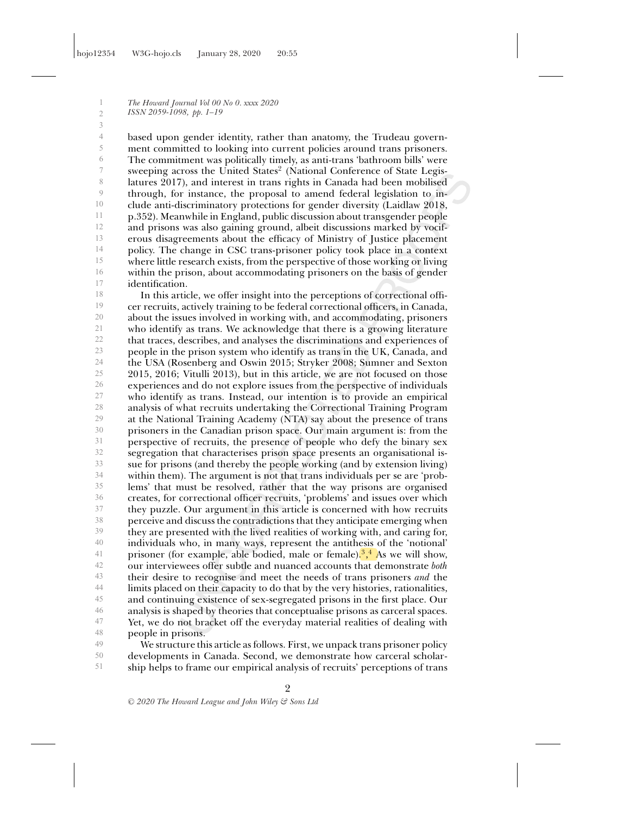1 3 4

based upon gender identity, rather than anatomy, the Trudeau government committed to looking into current policies around trans prisoners. The commitment was politically timely, as anti-trans 'bathroom bills' were sweeping across the United States<sup>2</sup> (National Conference of State Legislatures 2017), and interest in trans rights in Canada had been mobilised through, for instance, the proposal to amend federal legislation to include anti-discriminatory protections for gender diversity (Laidlaw 2018, p.352). Meanwhile in England, public discussion about transgender people and prisons was also gaining ground, albeit discussions marked by vociferous disagreements about the efficacy of Ministry of Justice placement policy. The change in CSC trans-prisoner policy took place in a context where little research exists, from the perspective of those working or living within the prison, about accommodating prisoners on the basis of gender identification.

18 19 20 21 22 23 24 25 26 27 28 29 30 31 32 33 34 35 36 37 38 39 40 41 42 43 44 45 46 47 48 In this article, we offer insight into the perceptions of correctional officer recruits, actively training to be federal correctional officers, in Canada, about the issues involved in working with, and accommodating, prisoners who identify as trans. We acknowledge that there is a growing literature that traces, describes, and analyses the discriminations and experiences of people in the prison system who identify as trans in the UK, Canada, and the USA (Rosenberg and Oswin 2015; Stryker 2008; Sumner and Sexton 2015, 2016; Vitulli 2013), but in this article, we are not focused on those experiences and do not explore issues from the perspective of individuals who identify as trans. Instead, our intention is to provide an empirical analysis of what recruits undertaking the Correctional Training Program at the National Training Academy (NTA) say about the presence of trans prisoners in the Canadian prison space. Our main argument is: from the perspective of recruits, the presence of people who defy the binary sex segregation that characterises prison space presents an organisational issue for prisons (and thereby the people working (and by extension living) within them). The argument is not that trans individuals per se are 'problems' that must be resolved, rather that the way prisons are organised creates, for correctional officer recruits, 'problems' and issues over which they puzzle. Our argument in this article is concerned with how recruits perceive and discuss the contradictions that they anticipate emerging when they are presented with the lived realities of working with, and caring for, individuals who, in many ways, represent the antithesis of the 'notional' prisoner (for example, able bodied, male or female).<sup>3,4</sup> As we will show, our interviewees offer subtle and nuanced accounts that demonstrate *both* their desire to recognise and meet the needs of trans prisoners *and* the limits placed on their capacity to do that by the very histories, rationalities, and continuing existence of sex-segregated prisons in the first place. Our analysis is shaped by theories that conceptualise prisons as carceral spaces. Yet, we do not bracket off the everyday material realities of dealing with people in prisons.

49 50 51 We structure this article as follows. First, we unpack trans prisoner policy developments in Canada. Second, we demonstrate how carceral scholarship helps to frame our empirical analysis of recruits' perceptions of trans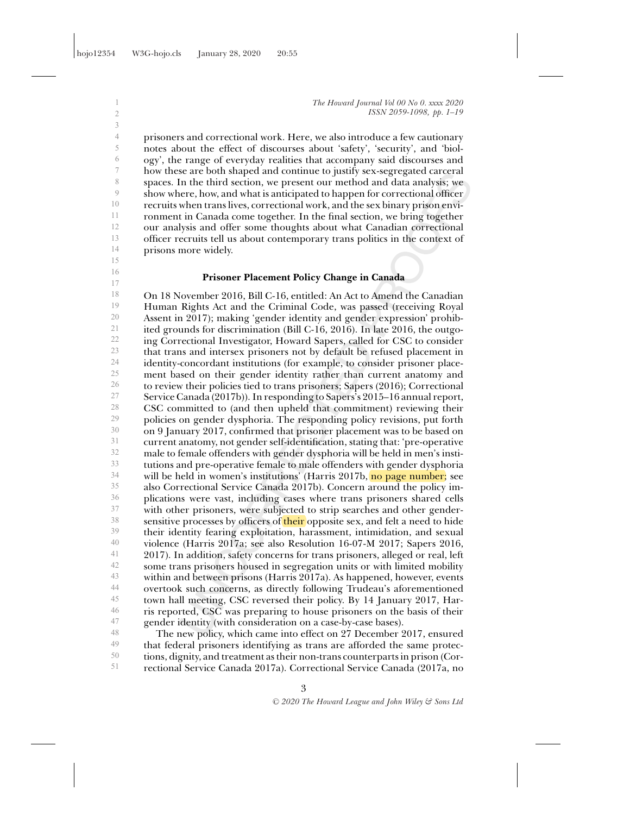prisoners and correctional work. Here, we also introduce a few cautionary notes about the effect of discourses about 'safety', 'security', and 'biology', the range of everyday realities that accompany said discourses and how these are both shaped and continue to justify sex-segregated carceral spaces. In the third section, we present our method and data analysis; we show where, how, and what is anticipated to happen for correctional officer recruits when trans lives, correctional work, and the sex binary prison environment in Canada come together. In the final section, we bring together our analysis and offer some thoughts about what Canadian correctional officer recruits tell us about contemporary trans politics in the context of prisons more widely.

#### **Prisoner Placement Policy Change in Canada**

18 19 20 21 22 23 24  $25$ 26 27 28 29 30 31 32 33 34 35 36 37 38 39 40 41 42 43 44 45 46 47 On 18 November 2016, Bill C-16, entitled: An Act to Amend the Canadian Human Rights Act and the Criminal Code, was passed (receiving Royal Assent in 2017); making 'gender identity and gender expression' prohibited grounds for discrimination (Bill C-16, 2016). In late 2016, the outgoing Correctional Investigator, Howard Sapers, called for CSC to consider that trans and intersex prisoners not by default be refused placement in identity-concordant institutions (for example, to consider prisoner placement based on their gender identity rather than current anatomy and to review their policies tied to trans prisoners; Sapers (2016); Correctional Service Canada (2017b)). In responding to Sapers's 2015–16 annual report, CSC committed to (and then upheld that commitment) reviewing their policies on gender dysphoria. The responding policy revisions, put forth on 9 January 2017, confirmed that prisoner placement was to be based on current anatomy, not gender self-identification, stating that: 'pre-operative male to female offenders with gender dysphoria will be held in men's institutions and pre-operative female to male offenders with gender dysphoria will be held in women's institutions' (Harris 2017b, no page number; see also Correctional Service Canada 2017b). Concern around the policy implications were vast, including cases where trans prisoners shared cells with other prisoners, were subjected to strip searches and other gendersensitive processes by officers of their opposite sex, and felt a need to hide their identity fearing exploitation, harassment, intimidation, and sexual violence (Harris 2017a; see also Resolution 16-07-M 2017; Sapers 2016, 2017). In addition, safety concerns for trans prisoners, alleged or real, left some trans prisoners housed in segregation units or with limited mobility within and between prisons (Harris 2017a). As happened, however, events overtook such concerns, as directly following Trudeau's aforementioned town hall meeting, CSC reversed their policy. By 14 January 2017, Harris reported, CSC was preparing to house prisoners on the basis of their gender identity (with consideration on a case-by-case bases).

48 49 50 51 The new policy, which came into effect on 27 December 2017, ensured that federal prisoners identifying as trans are afforded the same protections, dignity, and treatment as their non-trans counterparts in prison (Correctional Service Canada 2017a). Correctional Service Canada (2017a, no

-<sup>C</sup> *2020 The Howard League and John Wiley & Sons Ltd*

1 2 3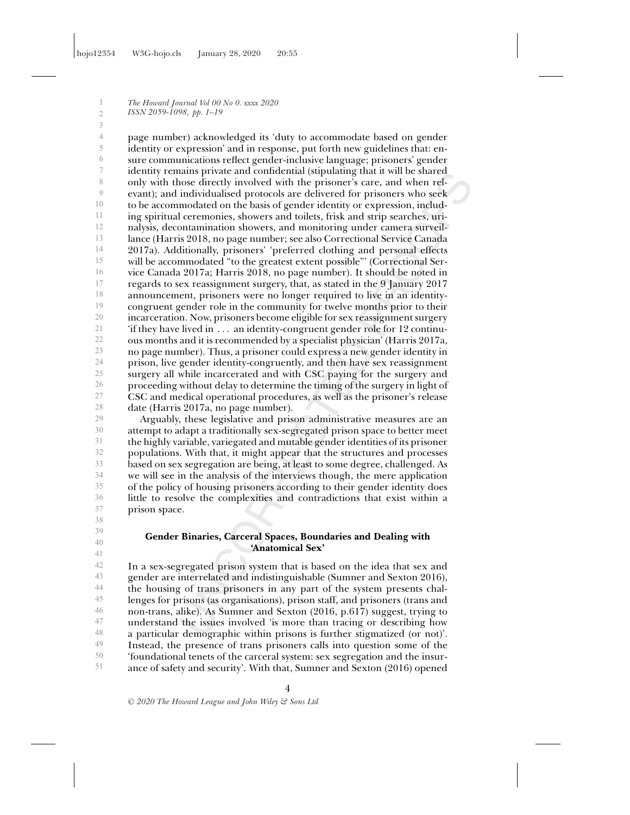1 3 4

page number) acknowledged its 'duty to accommodate based on gender identity or expression' and in response, put forth new guidelines that: ensure communications reflect gender-inclusive language; prisoners' gender identity remains private and confidential (stipulating that it will be shared only with those directly involved with the prisoner's care, and when relevant); and individualised protocols are delivered for prisoners who seek to be accommodated on the basis of gender identity or expression, including spiritual ceremonies, showers and toilets, frisk and strip searches, urinalysis, decontamination showers, and monitoring under camera surveillance (Harris 2018, no page number; see also Correctional Service Canada 2017a). Additionally, prisoners' 'preferred clothing and personal effects will be accommodated "to the greatest extent possible"' (Correctional Service Canada 2017a; Harris 2018, no page number). It should be noted in regards to sex reassignment surgery, that, as stated in the 9 January 2017 announcement, prisoners were no longer required to live in an identitycongruent gender role in the community for twelve months prior to their incarceration. Now, prisoners become eligible for sex reassignment surgery 'if they have lived in . . . an identity-congruent gender role for 12 continuous months and it is recommended by a specialist physician' (Harris 2017a, no page number). Thus, a prisoner could express a new gender identity in prison, live gender identity-congruently, and then have sex reassignment surgery all while incarcerated and with CSC paying for the surgery and proceeding without delay to determine the timing of the surgery in light of CSC and medical operational procedures, as well as the prisoner's release date (Harris 2017a, no page number).

Arguably, these legislative and prison administrative measures are an attempt to adapt a traditionally sex-segregated prison space to better meet the highly variable, variegated and mutable gender identities of its prisoner populations. With that, it might appear that the structures and processes based on sex segregation are being, at least to some degree, challenged. As we will see in the analysis of the interviews though, the mere application of the policy of housing prisoners according to their gender identity does little to resolve the complexities and contradictions that exist within a prison space.

37 38 39

#### **Gender Binaries, Carceral Spaces, Boundaries and Dealing with 'Anatomical Sex'**

In a sex-segregated prison system that is based on the idea that sex and gender are interrelated and indistinguishable (Sumner and Sexton 2016), the housing of trans prisoners in any part of the system presents challenges for prisons (as organisations), prison staff, and prisoners (trans and non-trans, alike). As Sumner and Sexton (2016, p.617) suggest, trying to understand the issues involved 'is more than tracing or describing how a particular demographic within prisons is further stigmatized (or not)'. Instead, the presence of trans prisoners calls into question some of the 'foundational tenets of the carceral system: sex segregation and the insurance of safety and security'. With that, Sumner and Sexton (2016) opened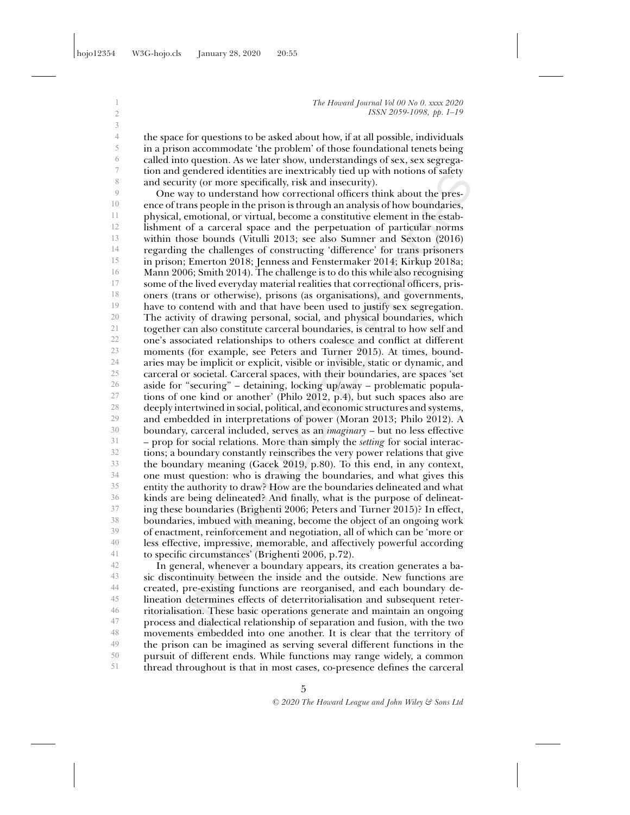the space for questions to be asked about how, if at all possible, individuals in a prison accommodate 'the problem' of those foundational tenets being called into question. As we later show, understandings of sex, sex segregation and gendered identities are inextricably tied up with notions of safety and security (or more specifically, risk and insecurity).

9 10 11 12 13 14 15 16 17 18 19 20 21 22 23 24 25 26 27 28 29 30 31 32 33 34 35 36 37 38 39 40 41 One way to understand how correctional officers think about the presence of trans people in the prison is through an analysis of how boundaries, physical, emotional, or virtual, become a constitutive element in the establishment of a carceral space and the perpetuation of particular norms within those bounds (Vitulli 2013; see also Sumner and Sexton (2016) regarding the challenges of constructing 'difference' for trans prisoners in prison; Emerton 2018; Jenness and Fenstermaker 2014; Kirkup 2018a; Mann 2006; Smith 2014). The challenge is to do this while also recognising some of the lived everyday material realities that correctional officers, prisoners (trans or otherwise), prisons (as organisations), and governments, have to contend with and that have been used to justify sex segregation. The activity of drawing personal, social, and physical boundaries, which together can also constitute carceral boundaries, is central to how self and one's associated relationships to others coalesce and conflict at different moments (for example, see Peters and Turner 2015). At times, boundaries may be implicit or explicit, visible or invisible, static or dynamic, and carceral or societal. Carceral spaces, with their boundaries, are spaces 'set aside for "securing" – detaining, locking up/away – problematic populations of one kind or another' (Philo 2012, p.4), but such spaces also are deeply intertwined in social, political, and economic structures and systems, and embedded in interpretations of power (Moran 2013; Philo 2012). A boundary, carceral included, serves as an *imaginary* – but no less effective – prop for social relations. More than simply the *setting* for social interactions; a boundary constantly reinscribes the very power relations that give the boundary meaning (Gacek 2019, p.80). To this end, in any context, one must question: who is drawing the boundaries, and what gives this entity the authority to draw? How are the boundaries delineated and what kinds are being delineated? And finally, what is the purpose of delineating these boundaries (Brighenti 2006; Peters and Turner 2015)? In effect, boundaries, imbued with meaning, become the object of an ongoing work of enactment, reinforcement and negotiation, all of which can be 'more or less effective, impressive, memorable, and affectively powerful according to specific circumstances' (Brighenti 2006, p.72).

42 43 44 45 46 47 48 49 50 51 In general, whenever a boundary appears, its creation generates a basic discontinuity between the inside and the outside. New functions are created, pre-existing functions are reorganised, and each boundary delineation determines effects of deterritorialisation and subsequent reterritorialisation. These basic operations generate and maintain an ongoing process and dialectical relationship of separation and fusion, with the two movements embedded into one another. It is clear that the territory of the prison can be imagined as serving several different functions in the pursuit of different ends. While functions may range widely, a common thread throughout is that in most cases, co-presence defines the carceral

-<sup>C</sup> *2020 The Howard League and John Wiley & Sons Ltd*

1 2 3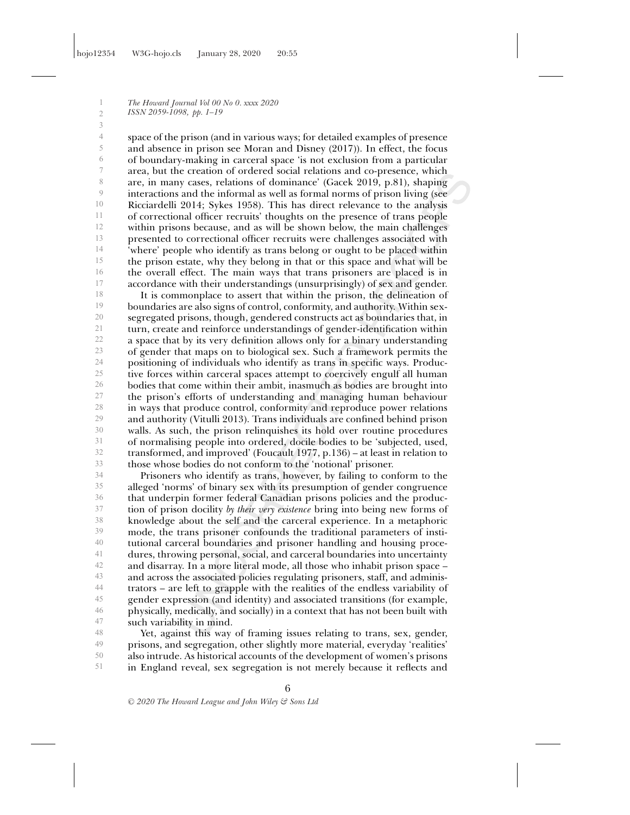49

51

space of the prison (and in various ways; for detailed examples of presence and absence in prison see Moran and Disney (2017)). In effect, the focus of boundary-making in carceral space 'is not exclusion from a particular area, but the creation of ordered social relations and co-presence, which are, in many cases, relations of dominance' (Gacek 2019, p.81), shaping interactions and the informal as well as formal norms of prison living (see Ricciardelli 2014; Sykes 1958). This has direct relevance to the analysis of correctional officer recruits' thoughts on the presence of trans people within prisons because, and as will be shown below, the main challenges presented to correctional officer recruits were challenges associated with 'where' people who identify as trans belong or ought to be placed within the prison estate, why they belong in that or this space and what will be the overall effect. The main ways that trans prisoners are placed is in accordance with their understandings (unsurprisingly) of sex and gender.

18 19 20 21 22 23 24 25 26 27 28 29 30 31 32 33 It is commonplace to assert that within the prison, the delineation of boundaries are also signs of control, conformity, and authority. Within sexsegregated prisons, though, gendered constructs act as boundaries that, in turn, create and reinforce understandings of gender-identification within a space that by its very definition allows only for a binary understanding of gender that maps on to biological sex. Such a framework permits the positioning of individuals who identify as trans in specific ways. Productive forces within carceral spaces attempt to coercively engulf all human bodies that come within their ambit, inasmuch as bodies are brought into the prison's efforts of understanding and managing human behaviour in ways that produce control, conformity and reproduce power relations and authority (Vitulli 2013). Trans individuals are confined behind prison walls. As such, the prison relinquishes its hold over routine procedures of normalising people into ordered, docile bodies to be 'subjected, used, transformed, and improved' (Foucault 1977, p.136) – at least in relation to those whose bodies do not conform to the 'notional' prisoner.

34 35 36 37 38 39 40 41 42 43 44 45 46 47 Prisoners who identify as trans, however, by failing to conform to the alleged 'norms' of binary sex with its presumption of gender congruence that underpin former federal Canadian prisons policies and the production of prison docility *by their very existence* bring into being new forms of knowledge about the self and the carceral experience. In a metaphoric mode, the trans prisoner confounds the traditional parameters of institutional carceral boundaries and prisoner handling and housing procedures, throwing personal, social, and carceral boundaries into uncertainty and disarray. In a more literal mode, all those who inhabit prison space – and across the associated policies regulating prisoners, staff, and administrators – are left to grapple with the realities of the endless variability of gender expression (and identity) and associated transitions (for example, physically, medically, and socially) in a context that has not been built with such variability in mind.

48 50 Yet, against this way of framing issues relating to trans, sex, gender, prisons, and segregation, other slightly more material, everyday 'realities' also intrude. As historical accounts of the development of women's prisons in England reveal, sex segregation is not merely because it reflects and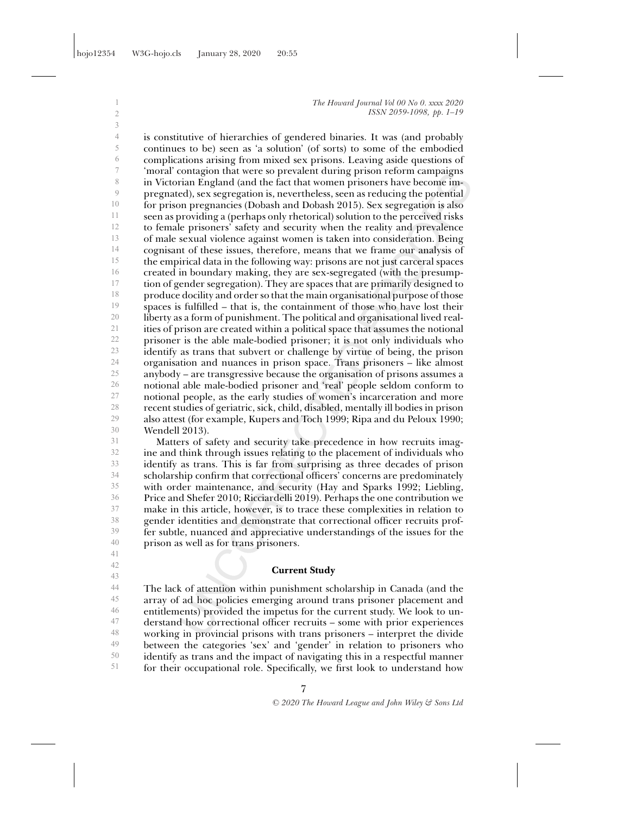1 2 3

*The Howard Journal Vol 00 No 0. xxxx 2020 ISSN 2059-1098, pp. 1–19*

4 5 6 7 8 9 10 11 12 13 14 15 16 17 18 19 20 21 22 23 24 25 26 27 28 29 30 is constitutive of hierarchies of gendered binaries. It was (and probably continues to be) seen as 'a solution' (of sorts) to some of the embodied complications arising from mixed sex prisons. Leaving aside questions of 'moral' contagion that were so prevalent during prison reform campaigns in Victorian England (and the fact that women prisoners have become impregnated), sex segregation is, nevertheless, seen as reducing the potential for prison pregnancies (Dobash and Dobash 2015). Sex segregation is also seen as providing a (perhaps only rhetorical) solution to the perceived risks to female prisoners' safety and security when the reality and prevalence of male sexual violence against women is taken into consideration. Being cognisant of these issues, therefore, means that we frame our analysis of the empirical data in the following way: prisons are not just carceral spaces created in boundary making, they are sex-segregated (with the presumption of gender segregation). They are spaces that are primarily designed to produce docility and order so that the main organisational purpose of those spaces is fulfilled – that is, the containment of those who have lost their liberty as a form of punishment. The political and organisational lived realities of prison are created within a political space that assumes the notional prisoner is the able male-bodied prisoner; it is not only individuals who identify as trans that subvert or challenge by virtue of being, the prison organisation and nuances in prison space. Trans prisoners – like almost anybody – are transgressive because the organisation of prisons assumes a notional able male-bodied prisoner and 'real' people seldom conform to notional people, as the early studies of women's incarceration and more recent studies of geriatric, sick, child, disabled, mentally ill bodies in prison also attest (for example, Kupers and Toch 1999; Ripa and du Peloux 1990; Wendell 2013).

31 32 33 34 35 36 37 38 39 40 41 Matters of safety and security take precedence in how recruits imagine and think through issues relating to the placement of individuals who identify as trans. This is far from surprising as three decades of prison scholarship confirm that correctional officers' concerns are predominately with order maintenance, and security (Hay and Sparks 1992; Liebling, Price and Shefer 2010; Ricciardelli 2019). Perhaps the one contribution we make in this article, however, is to trace these complexities in relation to gender identities and demonstrate that correctional officer recruits proffer subtle, nuanced and appreciative understandings of the issues for the prison as well as for trans prisoners.

#### **Current Study**

The lack of attention within punishment scholarship in Canada (and the array of ad hoc policies emerging around trans prisoner placement and entitlements) provided the impetus for the current study. We look to understand how correctional officer recruits – some with prior experiences working in provincial prisons with trans prisoners – interpret the divide between the categories 'sex' and 'gender' in relation to prisoners who identify as trans and the impact of navigating this in a respectful manner for their occupational role. Specifically, we first look to understand how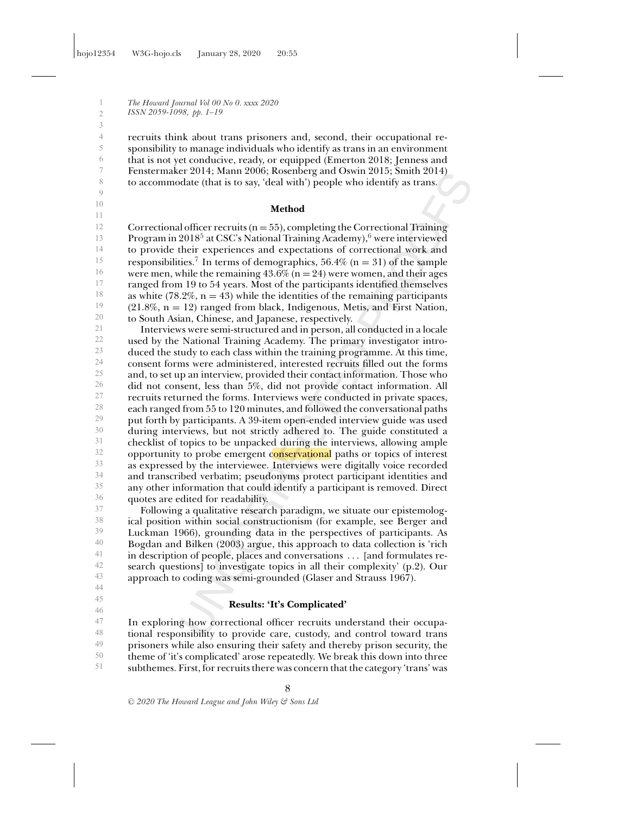recruits think about trans prisoners and, second, their occupational responsibility to manage individuals who identify as trans in an environment that is not yet conducive, ready, or equipped (Emerton 2018; Jenness and Fenstermaker 2014; Mann 2006; Rosenberg and Oswin 2015; Smith 2014) to accommodate (that is to say, 'deal with') people who identify as trans.

#### **Method**

Correctional officer recruits ( $n = 55$ ), completing the Correctional Training Program in  $2018<sup>5</sup>$  at CSC's National Training Academy), were interviewed to provide their experiences and expectations of correctional work and responsibilities.<sup>7</sup> In terms of demographics, 56.4% (n = 31) of the sample were men, while the remaining  $43.6\%$  (n = 24) were women, and their ages ranged from 19 to 54 years. Most of the participants identified themselves as white  $(78.2\%, n = 43)$  while the identities of the remaining participants  $(21.8\%, n = 12)$  ranged from black, Indigenous, Metis, and First Nation, to South Asian, Chinese, and Japanese, respectively.

21 22 23 24 25 26 27 28 29 30 31 32 33 34 35 36 37 Interviews were semi-structured and in person, all conducted in a locale used by the National Training Academy. The primary investigator introduced the study to each class within the training programme. At this time, consent forms were administered, interested recruits filled out the forms and, to set up an interview, provided their contact information. Those who did not consent, less than 5%, did not provide contact information. All recruits returned the forms. Interviews were conducted in private spaces, each ranged from 55 to 120 minutes, and followed the conversational paths put forth by participants. A 39-item open-ended interview guide was used during interviews, but not strictly adhered to. The guide constituted a checklist of topics to be unpacked during the interviews, allowing ample opportunity to probe emergent conservational paths or topics of interest as expressed by the interviewee. Interviews were digitally voice recorded and transcribed verbatim; pseudonyms protect participant identities and any other information that could identify a participant is removed. Direct quotes are edited for readability.

Following a qualitative research paradigm, we situate our epistemological position within social constructionism (for example, see Berger and Luckman 1966), grounding data in the perspectives of participants. As Bogdan and Bilken (2003) argue, this approach to data collection is 'rich in description of people, places and conversations . . . [and formulates research questions] to investigate topics in all their complexity' (p.2). Our approach to coding was semi-grounded (Glaser and Strauss 1967).

#### **Results: 'It's Complicated'**

In exploring how correctional officer recruits understand their occupational responsibility to provide care, custody, and control toward trans prisoners while also ensuring their safety and thereby prison security, the theme of 'it's complicated' arose repeatedly. We break this down into three subthemes. First, for recruits there was concern that the category 'trans' was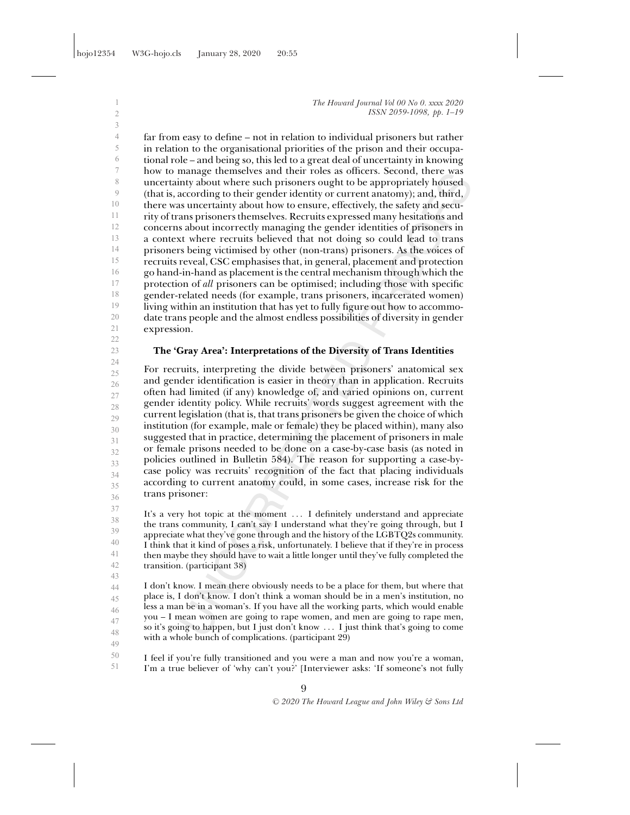4 5 6 7 8 9 10 11 12 13 14 15 16 17 18 19 20 21 far from easy to define – not in relation to individual prisoners but rather in relation to the organisational priorities of the prison and their occupational role – and being so, this led to a great deal of uncertainty in knowing how to manage themselves and their roles as officers. Second, there was uncertainty about where such prisoners ought to be appropriately housed (that is, according to their gender identity or current anatomy); and, third, there was uncertainty about how to ensure, effectively, the safety and security of trans prisoners themselves. Recruits expressed many hesitations and concerns about incorrectly managing the gender identities of prisoners in a context where recruits believed that not doing so could lead to trans prisoners being victimised by other (non-trans) prisoners. As the voices of recruits reveal, CSC emphasises that, in general, placement and protection go hand-in-hand as placement is the central mechanism through which the protection of *all* prisoners can be optimised; including those with specific gender-related needs (for example, trans prisoners, incarcerated women) living within an institution that has yet to fully figure out how to accommodate trans people and the almost endless possibilities of diversity in gender expression.

22 23 24

1 2 3

#### **The 'Gray Area': Interpretations of the Diversity of Trans Identities**

For recruits, interpreting the divide between prisoners' anatomical sex and gender identification is easier in theory than in application. Recruits often had limited (if any) knowledge of, and varied opinions on, current gender identity policy. While recruits' words suggest agreement with the current legislation (that is, that trans prisoners be given the choice of which institution (for example, male or female) they be placed within), many also suggested that in practice, determining the placement of prisoners in male or female prisons needed to be done on a case-by-case basis (as noted in policies outlined in Bulletin 584). The reason for supporting a case-bycase policy was recruits' recognition of the fact that placing individuals according to current anatomy could, in some cases, increase risk for the trans prisoner:

It's a very hot topic at the moment ... I definitely understand and appreciate the trans community, I can't say I understand what they're going through, but I appreciate what they've gone through and the history of the LGBTQ2s community. I think that it kind of poses a risk, unfortunately. I believe that if they're in process then maybe they should have to wait a little longer until they've fully completed the transition. (participant 38)

I don't know. I mean there obviously needs to be a place for them, but where that place is, I don't know. I don't think a woman should be in a men's institution, no less a man be in a woman's. If you have all the working parts, which would enable you – I mean women are going to rape women, and men are going to rape men, so it's going to happen, but I just don't know . . . I just think that's going to come with a whole bunch of complications. (participant 29)

I feel if you're fully transitioned and you were a man and now you're a woman, I'm a true believer of 'why can't you?' [Interviewer asks: 'If someone's not fully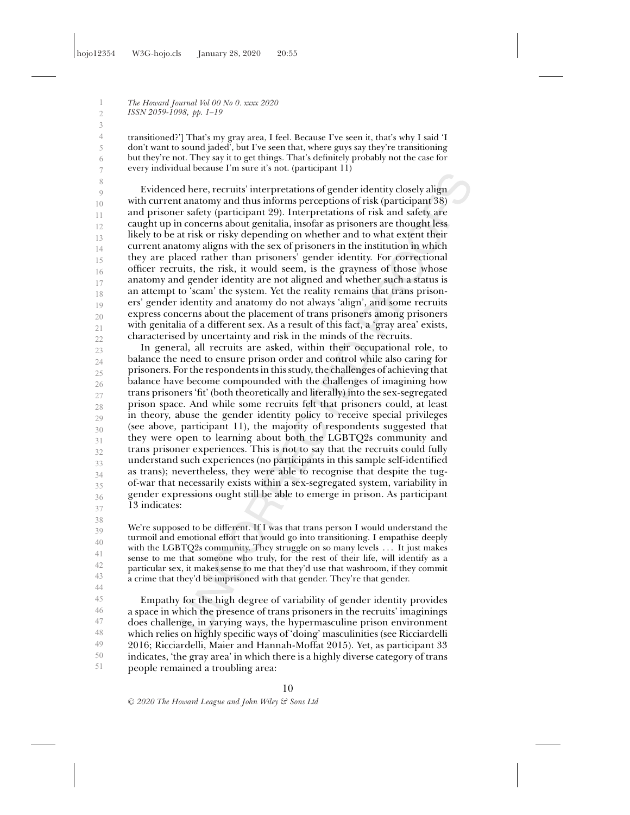*The Howard Journal Vol 00 No 0. xxxx 2020*

*ISSN 2059-1098, pp. 1–19*

32 33

transitioned?'] That's my gray area, I feel. Because I've seen it, that's why I said 'I don't want to sound jaded', but I've seen that, where guys say they're transitioning but they're not. They say it to get things. That's definitely probably not the case for every individual because I'm sure it's not. (participant 11)

Evidenced here, recruits' interpretations of gender identity closely align with current anatomy and thus informs perceptions of risk (participant 38) and prisoner safety (participant 29). Interpretations of risk and safety are caught up in concerns about genitalia, insofar as prisoners are thought less likely to be at risk or risky depending on whether and to what extent their current anatomy aligns with the sex of prisoners in the institution in which they are placed rather than prisoners' gender identity. For correctional officer recruits, the risk, it would seem, is the grayness of those whose anatomy and gender identity are not aligned and whether such a status is an attempt to 'scam' the system. Yet the reality remains that trans prisoners' gender identity and anatomy do not always 'align', and some recruits express concerns about the placement of trans prisoners among prisoners with genitalia of a different sex. As a result of this fact, a 'gray area' exists, characterised by uncertainty and risk in the minds of the recruits.

22 23 24 25 26 27 28 29 30 31 34 35 36 37 In general, all recruits are asked, within their occupational role, to balance the need to ensure prison order and control while also caring for prisoners. For the respondents in this study, the challenges of achieving that balance have become compounded with the challenges of imagining how trans prisoners 'fit' (both theoretically and literally) into the sex-segregated prison space. And while some recruits felt that prisoners could, at least in theory, abuse the gender identity policy to receive special privileges (see above, participant 11), the majority of respondents suggested that they were open to learning about both the LGBTQ2s community and trans prisoner experiences. This is not to say that the recruits could fully understand such experiences (no participants in this sample self-identified as trans); nevertheless, they were able to recognise that despite the tugof-war that necessarily exists within a sex-segregated system, variability in gender expressions ought still be able to emerge in prison. As participant 13 indicates:

We're supposed to be different. If I was that trans person I would understand the turmoil and emotional effort that would go into transitioning. I empathise deeply with the LGBTQ2s community. They struggle on so many levels . . . It just makes sense to me that someone who truly, for the rest of their life, will identify as a particular sex, it makes sense to me that they'd use that washroom, if they commit a crime that they'd be imprisoned with that gender. They're that gender.

Empathy for the high degree of variability of gender identity provides a space in which the presence of trans prisoners in the recruits' imaginings does challenge, in varying ways, the hypermasculine prison environment which relies on highly specific ways of 'doing' masculinities (see Ricciardelli 2016; Ricciardelli, Maier and Hannah-Moffat 2015). Yet, as participant 33 indicates, 'the gray area' in which there is a highly diverse category of trans people remained a troubling area: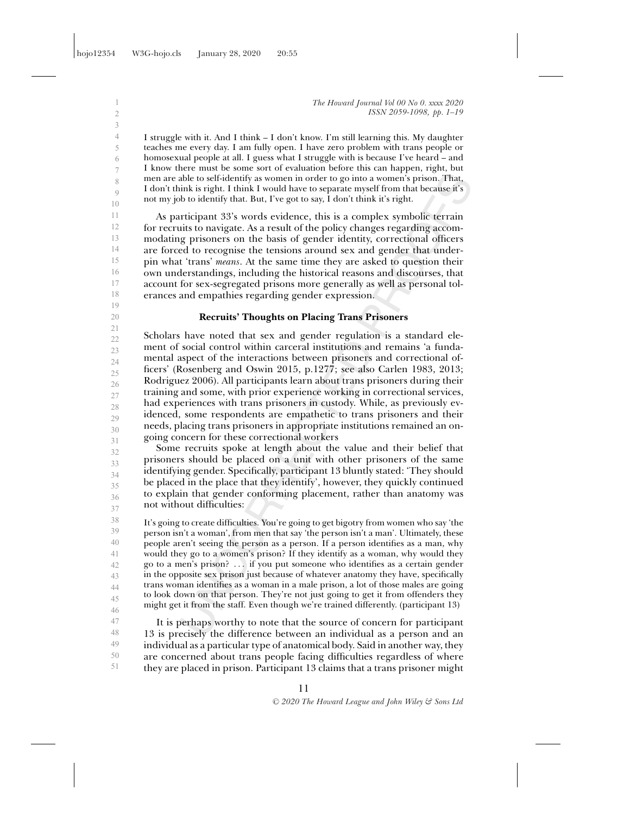*The Howard Journal Vol 00 No 0. xxxx 2020 ISSN 2059-1098, pp. 1–19*

I struggle with it. And I think – I don't know. I'm still learning this. My daughter teaches me every day. I am fully open. I have zero problem with trans people or homosexual people at all. I guess what I struggle with is because I've heard – and I know there must be some sort of evaluation before this can happen, right, but men are able to self-identify as women in order to go into a women's prison. That, I don't think is right. I think I would have to separate myself from that because it's not my job to identify that. But, I've got to say, I don't think it's right.

As participant 33's words evidence, this is a complex symbolic terrain for recruits to navigate. As a result of the policy changes regarding accommodating prisoners on the basis of gender identity, correctional officers are forced to recognise the tensions around sex and gender that underpin what 'trans' *means*. At the same time they are asked to question their own understandings, including the historical reasons and discourses, that account for sex-segregated prisons more generally as well as personal tolerances and empathies regarding gender expression.

#### **Recruits' Thoughts on Placing Trans Prisoners**

21 22 23 24 25 26 27 28 29 30 31 Scholars have noted that sex and gender regulation is a standard element of social control within carceral institutions and remains 'a fundamental aspect of the interactions between prisoners and correctional officers' (Rosenberg and Oswin 2015, p.1277; see also Carlen 1983, 2013; Rodriguez 2006). All participants learn about trans prisoners during their training and some, with prior experience working in correctional services, had experiences with trans prisoners in custody. While, as previously evidenced, some respondents are empathetic to trans prisoners and their needs, placing trans prisoners in appropriate institutions remained an ongoing concern for these correctional workers

Some recruits spoke at length about the value and their belief that prisoners should be placed on a unit with other prisoners of the same identifying gender. Specifically, participant 13 bluntly stated: 'They should be placed in the place that they identify', however, they quickly continued to explain that gender conforming placement, rather than anatomy was not without difficulties:

It's going to create difficulties. You're going to get bigotry from women who say 'the person isn't a woman', from men that say 'the person isn't a man'. Ultimately, these people aren't seeing the person as a person. If a person identifies as a man, why would they go to a women's prison? If they identify as a woman, why would they go to a men's prison? . . . if you put someone who identifies as a certain gender in the opposite sex prison just because of whatever anatomy they have, specifically trans woman identifies as a woman in a male prison, a lot of those males are going to look down on that person. They're not just going to get it from offenders they might get it from the staff. Even though we're trained differently. (participant 13)

It is perhaps worthy to note that the source of concern for participant 13 is precisely the difference between an individual as a person and an individual as a particular type of anatomical body. Said in another way, they are concerned about trans people facing difficulties regardless of where they are placed in prison. Participant 13 claims that a trans prisoner might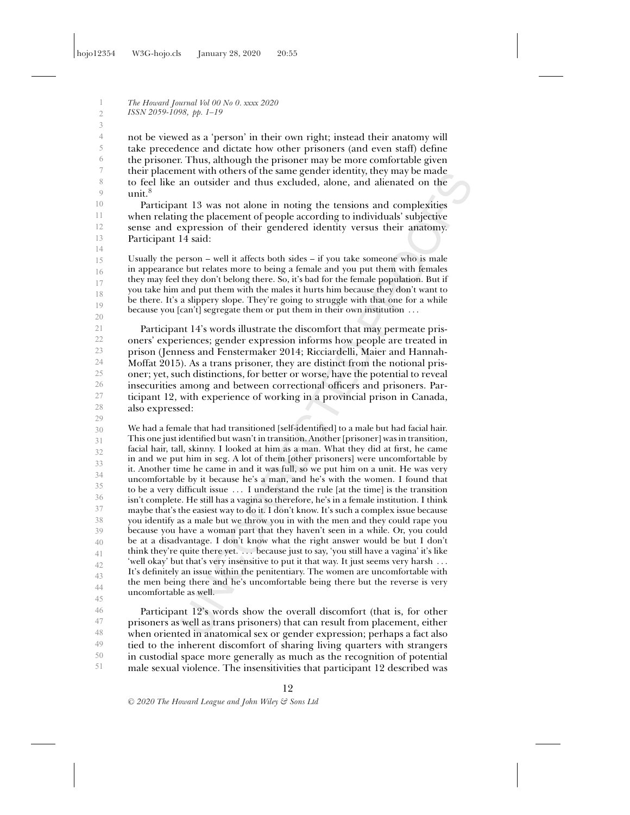not be viewed as a 'person' in their own right; instead their anatomy will take precedence and dictate how other prisoners (and even staff) define the prisoner. Thus, although the prisoner may be more comfortable given their placement with others of the same gender identity, they may be made to feel like an outsider and thus excluded, alone, and alienated on the unit.8

Participant 13 was not alone in noting the tensions and complexities when relating the placement of people according to individuals' subjective sense and expression of their gendered identity versus their anatomy. Participant 14 said:

Usually the person – well it affects both sides – if you take someone who is male in appearance but relates more to being a female and you put them with females they may feel they don't belong there. So, it's bad for the female population. But if you take him and put them with the males it hurts him because they don't want to be there. It's a slippery slope. They're going to struggle with that one for a while because you [can't] segregate them or put them in their own institution . . .

Participant 14's words illustrate the discomfort that may permeate prisoners' experiences; gender expression informs how people are treated in prison (Jenness and Fenstermaker 2014; Ricciardelli, Maier and Hannah-Moffat 2015). As a trans prisoner, they are distinct from the notional prisoner; yet, such distinctions, for better or worse, have the potential to reveal insecurities among and between correctional officers and prisoners. Participant 12, with experience of working in a provincial prison in Canada, also expressed:

30 31 32 33 34 35 36 37 38 39 40 41 42 43 44 We had a female that had transitioned [self-identified] to a male but had facial hair. This one just identified but wasn't in transition. Another [prisoner] was in transition, facial hair, tall, skinny. I looked at him as a man. What they did at first, he came in and we put him in seg. A lot of them [other prisoners] were uncomfortable by it. Another time he came in and it was full, so we put him on a unit. He was very uncomfortable by it because he's a man, and he's with the women. I found that to be a very difficult issue . . . I understand the rule [at the time] is the transition isn't complete. He still has a vagina so therefore, he's in a female institution. I think maybe that's the easiest way to do it. I don't know. It's such a complex issue because you identify as a male but we throw you in with the men and they could rape you because you have a woman part that they haven't seen in a while. Or, you could be at a disadvantage. I don't know what the right answer would be but I don't think they're quite there yet.  $\ldots$  because just to say, 'you still have a vagina' it's like 'well okay' but that's very insensitive to put it that way. It just seems very harsh . . . It's definitely an issue within the penitentiary. The women are uncomfortable with the men being there and he's uncomfortable being there but the reverse is very uncomfortable as well.

45 46

Participant 12's words show the overall discomfort (that is, for other prisoners as well as trans prisoners) that can result from placement, either when oriented in anatomical sex or gender expression; perhaps a fact also tied to the inherent discomfort of sharing living quarters with strangers in custodial space more generally as much as the recognition of potential male sexual violence. The insensitivities that participant 12 described was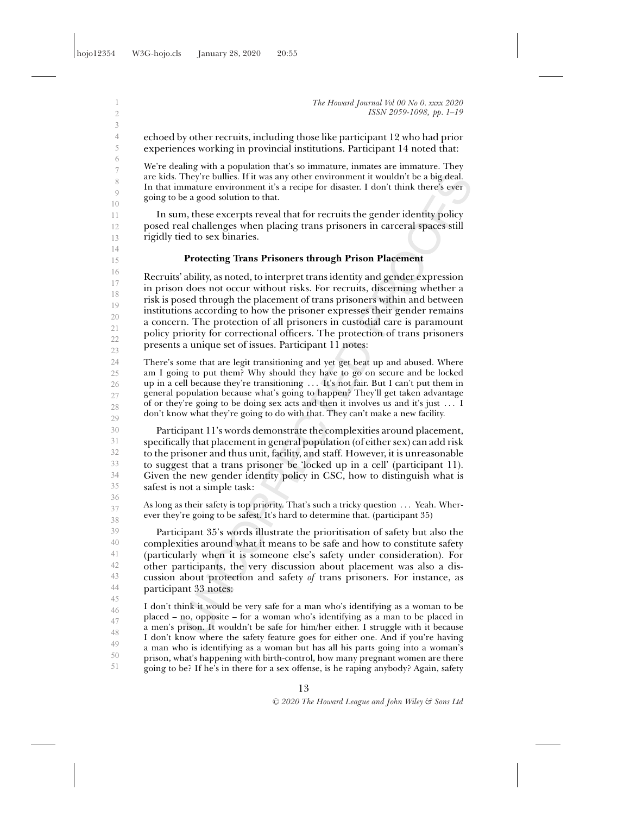echoed by other recruits, including those like participant 12 who had prior experiences working in provincial institutions. Participant 14 noted that:

We're dealing with a population that's so immature, inmates are immature. They are kids. They're bullies. If it was any other environment it wouldn't be a big deal. In that immature environment it's a recipe for disaster. I don't think there's ever going to be a good solution to that.

In sum, these excerpts reveal that for recruits the gender identity policy posed real challenges when placing trans prisoners in carceral spaces still rigidly tied to sex binaries.

#### **Protecting Trans Prisoners through Prison Placement**

Recruits' ability, as noted, to interpret trans identity and gender expression in prison does not occur without risks. For recruits, discerning whether a risk is posed through the placement of trans prisoners within and between institutions according to how the prisoner expresses their gender remains a concern. The protection of all prisoners in custodial care is paramount policy priority for correctional officers. The protection of trans prisoners presents a unique set of issues. Participant 11 notes:

There's some that are legit transitioning and yet get beat up and abused. Where am I going to put them? Why should they have to go on secure and be locked up in a cell because they're transitioning . . . It's not fair. But I can't put them in general population because what's going to happen? They'll get taken advantage of or they're going to be doing sex acts and then it involves us and it's just . . . I don't know what they're going to do with that. They can't make a new facility.

Participant 11's words demonstrate the complexities around placement, specifically that placement in general population (of either sex) can add risk to the prisoner and thus unit, facility, and staff. However, it is unreasonable to suggest that a trans prisoner be 'locked up in a cell' (participant 11). Given the new gender identity policy in CSC, how to distinguish what is safest is not a simple task:

As long as their safety is top priority. That's such a tricky question . . . Yeah. Wherever they're going to be safest. It's hard to determine that. (participant 35)

Participant 35's words illustrate the prioritisation of safety but also the complexities around what it means to be safe and how to constitute safety (particularly when it is someone else's safety under consideration). For other participants, the very discussion about placement was also a discussion about protection and safety *of* trans prisoners. For instance, as participant 33 notes:

46 47 48 49 50 51 I don't think it would be very safe for a man who's identifying as a woman to be placed – no, opposite – for a woman who's identifying as a man to be placed in a men's prison. It wouldn't be safe for him/her either. I struggle with it because I don't know where the safety feature goes for either one. And if you're having a man who is identifying as a woman but has all his parts going into a woman's prison, what's happening with birth-control, how many pregnant women are there going to be? If he's in there for a sex offense, is he raping anybody? Again, safety

-<sup>C</sup> *2020 The Howard League and John Wiley & Sons Ltd*

1 2 3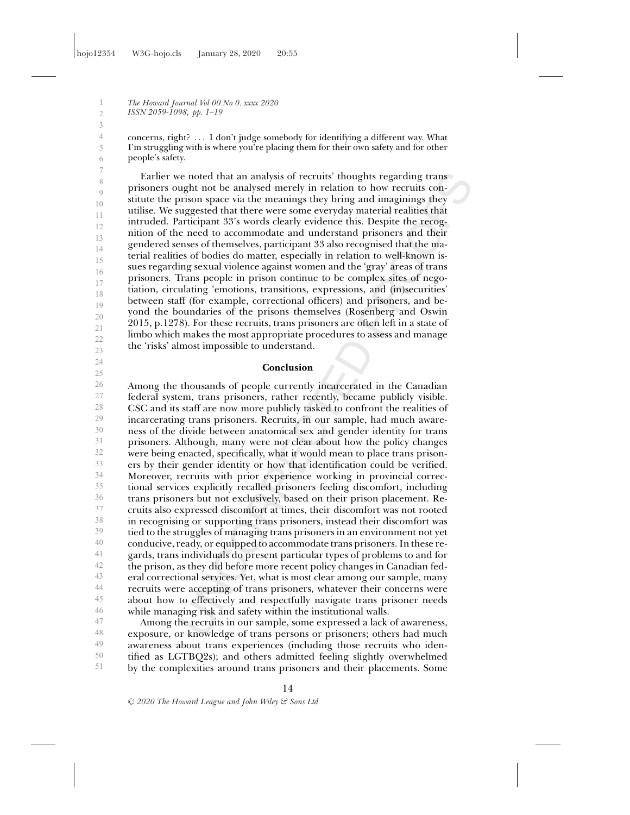concerns, right? . . . I don't judge somebody for identifying a different way. What I'm struggling with is where you're placing them for their own safety and for other people's safety.

Earlier we noted that an analysis of recruits' thoughts regarding trans prisoners ought not be analysed merely in relation to how recruits constitute the prison space via the meanings they bring and imaginings they utilise. We suggested that there were some everyday material realities that intruded. Participant 33's words clearly evidence this. Despite the recognition of the need to accommodate and understand prisoners and their gendered senses of themselves, participant 33 also recognised that the material realities of bodies do matter, especially in relation to well-known issues regarding sexual violence against women and the 'gray' areas of trans prisoners. Trans people in prison continue to be complex sites of negotiation, circulating 'emotions, transitions, expressions, and (in)securities' between staff (for example, correctional officers) and prisoners, and beyond the boundaries of the prisons themselves (Rosenberg and Oswin 2015, p.1278). For these recruits, trans prisoners are often left in a state of limbo which makes the most appropriate procedures to assess and manage the 'risks' almost impossible to understand.

#### **Conclusion**

26 27 28 29 30 31 32 33 34 35 36 37 38 39 40 41 42 43 44 45 46 Among the thousands of people currently incarcerated in the Canadian federal system, trans prisoners, rather recently, became publicly visible. CSC and its staff are now more publicly tasked to confront the realities of incarcerating trans prisoners. Recruits, in our sample, had much awareness of the divide between anatomical sex and gender identity for trans prisoners. Although, many were not clear about how the policy changes were being enacted, specifically, what it would mean to place trans prisoners by their gender identity or how that identification could be verified. Moreover, recruits with prior experience working in provincial correctional services explicitly recalled prisoners feeling discomfort, including trans prisoners but not exclusively, based on their prison placement. Recruits also expressed discomfort at times, their discomfort was not rooted in recognising or supporting trans prisoners, instead their discomfort was tied to the struggles of managing trans prisoners in an environment not yet conducive, ready, or equipped to accommodate trans prisoners. In these regards, trans individuals do present particular types of problems to and for the prison, as they did before more recent policy changes in Canadian federal correctional services. Yet, what is most clear among our sample, many recruits were accepting of trans prisoners, whatever their concerns were about how to effectively and respectfully navigate trans prisoner needs while managing risk and safety within the institutional walls.

47 48 49 50 51 Among the recruits in our sample, some expressed a lack of awareness, exposure, or knowledge of trans persons or prisoners; others had much awareness about trans experiences (including those recruits who identified as LGTBQ2s); and others admitted feeling slightly overwhelmed by the complexities around trans prisoners and their placements. Some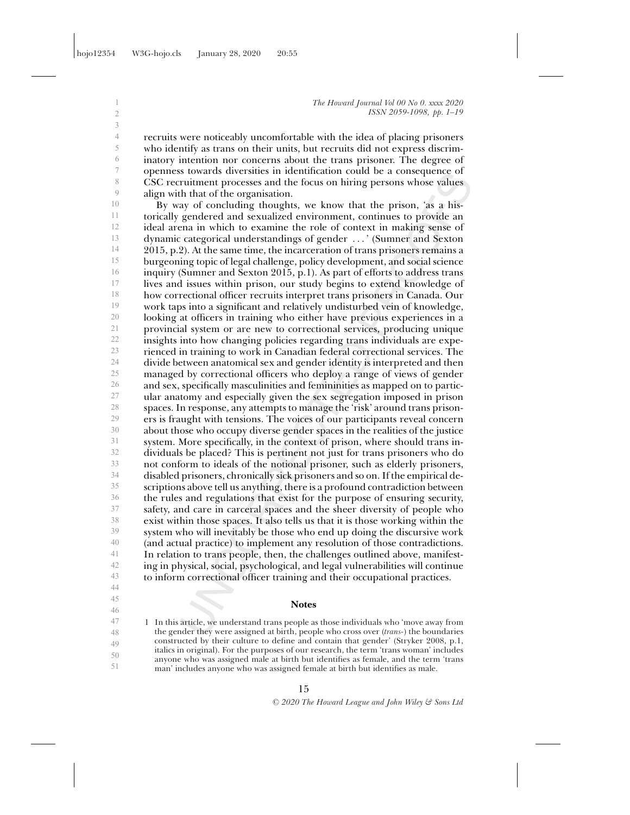recruits were noticeably uncomfortable with the idea of placing prisoners who identify as trans on their units, but recruits did not express discriminatory intention nor concerns about the trans prisoner. The degree of openness towards diversities in identification could be a consequence of CSC recruitment processes and the focus on hiring persons whose values align with that of the organisation.

10 11 12 13 14 15 16 17 18 19 20 21 22 23 24  $25$ 26 27 28 29 30 31 32 33 34 35 36 37 38 39 40 41 42 43 By way of concluding thoughts, we know that the prison, 'as a historically gendered and sexualized environment, continues to provide an ideal arena in which to examine the role of context in making sense of dynamic categorical understandings of gender . . . ' (Sumner and Sexton 2015, p.2). At the same time, the incarceration of trans prisoners remains a burgeoning topic of legal challenge, policy development, and social science inquiry (Sumner and Sexton 2015, p.1). As part of efforts to address trans lives and issues within prison, our study begins to extend knowledge of how correctional officer recruits interpret trans prisoners in Canada. Our work taps into a significant and relatively undisturbed vein of knowledge, looking at officers in training who either have previous experiences in a provincial system or are new to correctional services, producing unique insights into how changing policies regarding trans individuals are experienced in training to work in Canadian federal correctional services. The divide between anatomical sex and gender identity is interpreted and then managed by correctional officers who deploy a range of views of gender and sex, specifically masculinities and femininities as mapped on to particular anatomy and especially given the sex segregation imposed in prison spaces. In response, any attempts to manage the 'risk' around trans prisoners is fraught with tensions. The voices of our participants reveal concern about those who occupy diverse gender spaces in the realities of the justice system. More specifically, in the context of prison, where should trans individuals be placed? This is pertinent not just for trans prisoners who do not conform to ideals of the notional prisoner, such as elderly prisoners, disabled prisoners, chronically sick prisoners and so on. If the empirical descriptions above tell us anything, there is a profound contradiction between the rules and regulations that exist for the purpose of ensuring security, safety, and care in carceral spaces and the sheer diversity of people who exist within those spaces. It also tells us that it is those working within the system who will inevitably be those who end up doing the discursive work (and actual practice) to implement any resolution of those contradictions. In relation to trans people, then, the challenges outlined above, manifesting in physical, social, psychological, and legal vulnerabilities will continue to inform correctional officer training and their occupational practices.

#### **Notes**

1 In this article, we understand trans people as those individuals who 'move away from the gender they were assigned at birth, people who cross over (*trans-*) the boundaries constructed by their culture to define and contain that gender' (Stryker 2008, p.1, italics in original). For the purposes of our research, the term 'trans woman' includes anyone who was assigned male at birth but identifies as female, and the term 'trans man' includes anyone who was assigned female at birth but identifies as male.

-<sup>C</sup> *2020 The Howard League and John Wiley & Sons Ltd*

1 2 3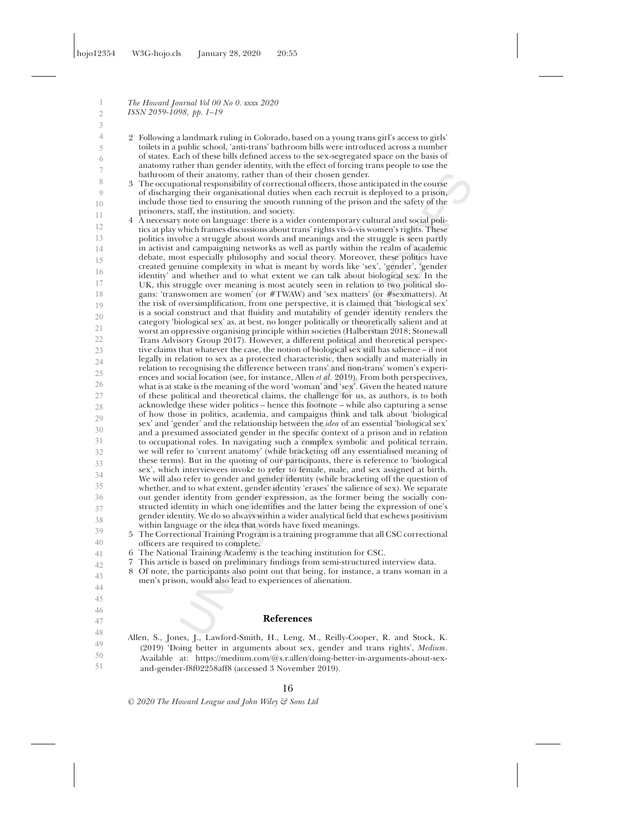2 Following a landmark ruling in Colorado, based on a young trans girl's access to girls' toilets in a public school, 'anti-trans' bathroom bills were introduced across a number of states. Each of these bills defined access to the sex-segregated space on the basis of anatomy rather than gender identity, with the effect of forcing trans people to use the bathroom of their anatomy, rather than of their chosen gender.

- 3 The occupational responsibility of correctional officers, those anticipated in the course of discharging their organisational duties when each recruit is deployed to a prison, include those tied to ensuring the smooth running of the prison and the safety of the prisoners, staff, the institution, and society.
- 12 13 14 15 16 17 18 19 20 21 22 23 24 25 26 27 28 29 30 31 32 33 34 35 36 37 38 39 4 A necessary note on language: there is a wider contemporary cultural and social politics at play which frames discussions about trans' rights vis-à-vis women's rights. These politics involve a struggle about words and meanings and the struggle is seen partly in activist and campaigning networks as well as partly within the realm of academic debate, most especially philosophy and social theory. Moreover, these politics have created genuine complexity in what is meant by words like 'sex', 'gender', 'gender identity' and whether and to what extent we can talk about biological sex. In the UK, this struggle over meaning is most acutely seen in relation to two political slogans: 'transwomen are women' (or #TWAW) and 'sex matters' (or #sexmatters). At the risk of oversimplification, from one perspective, it is claimed that 'biological sex' is a social construct and that fluidity and mutability of gender identity renders the category 'biological sex' as, at best, no longer politically or theoretically salient and at worst an oppressive organising principle within societies (Halberstam 2018; Stonewall Trans Advisory Group 2017). However, a different political and theoretical perspective claims that whatever the case, the notion of biological sex still has salience – if not legally in relation to sex as a protected characteristic, then socially and materially in relation to recognising the difference between trans' and non-trans' women's experiences and social location (see, for instance, Allen *et al.* 2019). From both perspectives, what is at stake is the meaning of the word 'woman' and 'sex'. Given the heated nature of these political and theoretical claims, the challenge for us, as authors, is to both acknowledge these wider politics – hence this footnote – while also capturing a sense of how those in politics, academia, and campaigns think and talk about 'biological sex' and 'gender' and the relationship between the *idea* of an essential 'biological sex' and a presumed associated gender in the specific context of a prison and in relation to occupational roles. In navigating such a complex symbolic and political terrain, we will refer to 'current anatomy' (while bracketing off any essentialised meaning of these terms). But in the quoting of our participants, there is reference to 'biological sex', which interviewees invoke to refer to female, male, and sex assigned at birth. We will also refer to gender and gender identity (while bracketing off the question of whether, and to what extent, gender identity 'erases' the salience of sex). We separate out gender identity from gender expression, as the former being the socially constructed identity in which one identifies and the latter being the expression of one's gender identity. We do so always within a wider analytical field that eschews positivism within language or the idea that words have fixed meanings.
	- 5 The Correctional Training Program is a training programme that all CSC correctional officers are required to complete.
	- The National Training Academy is the teaching institution for CSC.
	- 7 This article is based on preliminary findings from semi-structured interview data.
	- 8 Of note, the participants also point out that being, for instance, a trans woman in a men's prison, would also lead to experiences of alienation.

#### **References**

Allen, S., Jones, J., Lawford-Smith, H., Leng, M., Reilly-Cooper, R. and Stock, K. (2019) 'Doing better in arguments about sex, gender and trans rights', *Medium*. Available at: https://medium.com/@s.r.allen/doing-better-in-arguments-about-sexand-gender-f8f02258aff8 (accessed 3 November 2019).

#### 16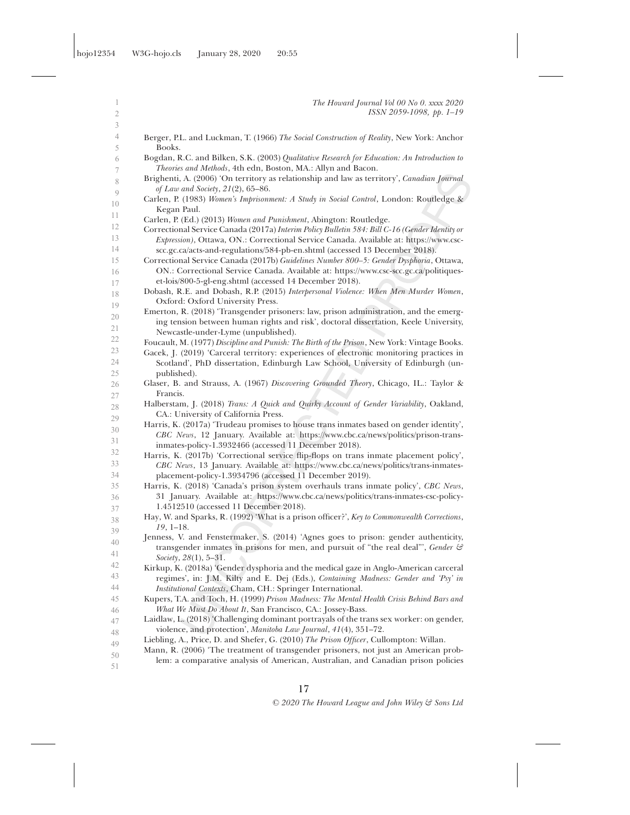| 1              | The Howard Journal Vol 00 No 0. xxxx 2020                                                                                                                                                       |
|----------------|-------------------------------------------------------------------------------------------------------------------------------------------------------------------------------------------------|
| $\mathfrak{2}$ | ISSN 2059-1098, pp. 1-19                                                                                                                                                                        |
| 3              |                                                                                                                                                                                                 |
| 4<br>5         | Berger, P.L. and Luckman, T. (1966) The Social Construction of Reality, New York: Anchor<br>Books.                                                                                              |
| 6<br>7         | Bogdan, R.C. and Bilken, S.K. (2003) Qualitative Research for Education: An Introduction to<br>Theories and Methods, 4th edn, Boston, MA.: Allyn and Bacon.                                     |
| 8<br>9         | Brighenti, A. (2006) 'On territory as relationship and law as territory', <i>Canadian Journal</i><br>of Law and Society, $21(2)$ , 65-86.                                                       |
| 10             | Carlen, P. (1983) Women's Imprisonment: A Study in Social Control, London: Routledge &<br>Kegan Paul.                                                                                           |
| 11             | Carlen, P. (Ed.) (2013) Women and Punishment, Abington: Routledge.                                                                                                                              |
| 12<br>13       | Correctional Service Canada (2017a) Interim Policy Bulletin 584: Bill C-16 (Gender Identity or<br><i>Expression</i> ), Ottawa, ON.: Correctional Service Canada. Available at: https://www.csc- |
| 14             | scc.gc.ca/acts-and-regulations/584-pb-en.shtml (accessed 13 December 2018).                                                                                                                     |
| 15             | Correctional Service Canada (2017b) Guidelines Number 800–5: Gender Dysphoria, Ottawa,                                                                                                          |
| 16<br>17       | ON.: Correctional Service Canada. Available at: https://www.csc-scc.gc.ca/politiques-<br>et-lois/800-5-gl-eng.shtml (accessed 14 December 2018).                                                |
| 18             | Dobash, R.E. and Dobash, R.P. (2015) Interpersonal Violence: When Men Murder Women,                                                                                                             |
| 19             | Oxford: Oxford University Press.                                                                                                                                                                |
| 20             | Emerton, R. (2018) 'Transgender prisoners: law, prison administration, and the emerg-                                                                                                           |
| 21             | ing tension between human rights and risk', doctoral dissertation, Keele University,<br>Newcastle-under-Lyme (unpublished).                                                                     |
| 22             | Foucault, M. (1977) Discipline and Punish: The Birth of the Prison, New York: Vintage Books.                                                                                                    |
| 23             | Gacek, J. (2019) 'Carceral territory: experiences of electronic monitoring practices in                                                                                                         |
| 24             | Scotland', PhD dissertation, Edinburgh Law School, University of Edinburgh (un-                                                                                                                 |
| 25             | published).                                                                                                                                                                                     |
| 26             | Glaser, B. and Strauss, A. (1967) Discovering Grounded Theory, Chicago, IL.: Taylor &                                                                                                           |
| 27             | Francis.                                                                                                                                                                                        |
| 28             | Halberstam, J. (2018) Trans: A Quick and Quirky Account of Gender Variability, Oakland,                                                                                                         |
| 29             | CA.: University of California Press.                                                                                                                                                            |
| 30             | Harris, K. (2017a) 'Trudeau promises to house trans inmates based on gender identity',                                                                                                          |
| 31             | CBC News, 12 January. Available at: https://www.cbc.ca/news/politics/prison-trans-                                                                                                              |
|                | inmates-policy-1.3932466 (accessed 11 December 2018).                                                                                                                                           |
| 32             | Harris, K. (2017b) 'Correctional service flip-flops on trans inmate placement policy',                                                                                                          |
| 33<br>34       | CBC News, 13 January. Available at: https://www.cbc.ca/news/politics/trans-inmates-                                                                                                             |
|                | placement-policy-1.3934796 (accessed 11 December 2019).                                                                                                                                         |
| 35             | Harris, K. (2018) 'Canada's prison system overhauls trans inmate policy', CBC News,<br>31 January. Available at: https://www.cbc.ca/news/politics/trans-inmates-csc-policy-                     |
| 36             | 1.4512510 (accessed 11 December 2018).                                                                                                                                                          |
| 37             | Hay, W. and Sparks, R. (1992) 'What is a prison officer?', Key to Commonwealth Corrections,                                                                                                     |
| 38             | $19, 1-18.$                                                                                                                                                                                     |
| 39             | Jenness, V. and Fenstermaker, S. (2014) 'Agnes goes to prison: gender authenticity,                                                                                                             |
| 40             | transgender inmates in prisons for men, and pursuit of "the real deal"', Gender &                                                                                                               |
| 41             | Society, $28(1)$ , $5-31$ .                                                                                                                                                                     |
| 42             | Kirkup, K. (2018a) 'Gender dysphoria and the medical gaze in Anglo-American carceral                                                                                                            |
| 43             | regimes', in: J.M. Kilty and E. Dej (Eds.), Containing Madness: Gender and 'Psy' in                                                                                                             |
| 44             | Institutional Contexts, Cham, CH.: Springer International.                                                                                                                                      |
| 45             | Kupers, T.A. and Toch, H. (1999) Prison Madness: The Mental Health Crisis Behind Bars and                                                                                                       |
| 46             | What We Must Do About It, San Francisco, CA.: Jossey-Bass.                                                                                                                                      |
| 47             | Laidlaw, L. (2018) 'Challenging dominant portrayals of the trans sex worker: on gender,                                                                                                         |
| 48             | violence, and protection', Manitoba Law Journal, 41(4), 351-72.                                                                                                                                 |
| 49             | Liebling, A., Price, D. and Shefer, G. (2010) The Prison Officer, Cullompton: Willan.                                                                                                           |
| 50             | Mann, R. (2006) 'The treatment of transgender prisoners, not just an American prob-                                                                                                             |
| 51             | lem: a comparative analysis of American, Australian, and Canadian prison policies                                                                                                               |
|                |                                                                                                                                                                                                 |

 $\overline{\phantom{a}}$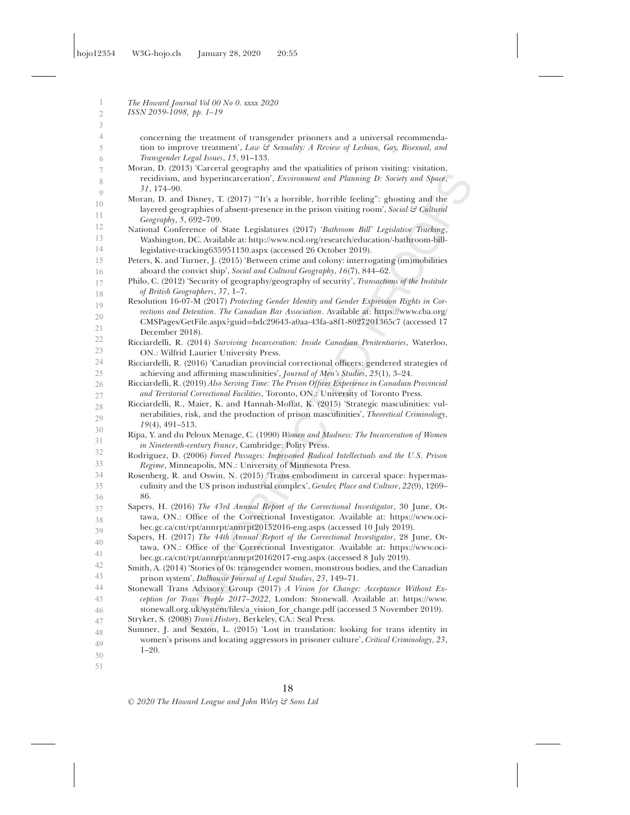| The Howard Journal Vol 00 No 0. xxxx 2020 |  |
|-------------------------------------------|--|
| ISSN 2059-1098, pp. 1–19                  |  |

1 2

| 3             |                                                                                                                                                        |
|---------------|--------------------------------------------------------------------------------------------------------------------------------------------------------|
| 4             | concerning the treatment of transgender prisoners and a universal recommenda-                                                                          |
| 5             | tion to improve treatment', Law & Sexuality: A Review of Lesbian, Gay, Bisexual, and                                                                   |
| 6             | Transgender Legal Issues, 15, 91-133.                                                                                                                  |
| 7             | Moran, D. (2013) 'Carceral geography and the spatialities of prison visiting: visitation,                                                              |
| 8             | recidivism, and hyperincarceration', Environment and Planning D: Society and Space,                                                                    |
|               | $31, 174 - 90.$                                                                                                                                        |
| $\mathcal{Q}$ | Moran, D. and Disney, T. (2017) "It's a horrible, horrible feeling": ghosting and the                                                                  |
| 10            | layered geographies of absent-presence in the prison visiting room', Social $\mathcal{F}$ Cultural                                                     |
| 11            | Geography, 5, 692-709.                                                                                                                                 |
| 12            | National Conference of State Legislatures (2017) 'Bathroom Bill' Legislative Tracking,                                                                 |
| 13            | Washington, DC. Available at: http://www.ncsl.org/research/education/-bathroom-bill-                                                                   |
| 14            | legislative-tracking635951130.aspx (accessed 26 October 2019).                                                                                         |
| 15            | Peters, K. and Turner, J. (2015) 'Between crime and colony: interrogating (im)mobilities                                                               |
| 16            | aboard the convict ship', Social and Cultural Geography, 16(7), 844-62.                                                                                |
| 17            | Philo, C. (2012) 'Security of geography/geography of security', Transactions of the Institute                                                          |
| 18            | of British Geographers, 37, 1-7.                                                                                                                       |
| 19            | Resolution 16-07-M (2017) Protecting Gender Identity and Gender Expression Rights in Cor-                                                              |
|               | rections and Detention. The Canadian Bar Association. Available at: https://www.cba.org/                                                               |
| 20            | CMSPages/GetFile.aspx?guid=bdc29643-a0aa-43fa-a8f1-8027201365c7 (accessed 17                                                                           |
| 21            | December 2018).                                                                                                                                        |
| 22            | Ricciardelli, R. (2014) Surviving Incarceration: Inside Canadian Penitentiaries, Waterloo,                                                             |
| 23            | ON.: Wilfrid Laurier University Press.                                                                                                                 |
| 24            | Ricciardelli, R. (2016) 'Canadian provincial correctional officers: gendered strategies of                                                             |
| 25            | achieving and affirming masculinities', <i>Journal of Men's Studies</i> , $25(1)$ , $3-24$ .                                                           |
| 26            | Ricciardelli, R. (2019) Also Serving Time: The Prison Officer Experience in Canadian Provincial                                                        |
| 27            | and Territorial Correctional Facilities, Toronto, ON.: University of Toronto Press.                                                                    |
| 28            | Ricciardelli, R., Maier, K. and Hannah-Moffat, K. (2015) 'Strategic masculinities: vul-                                                                |
| 29            | nerabilities, risk, and the production of prison masculinities', Theoretical Criminology,                                                              |
| 30            | $19(4)$ , 491-513.                                                                                                                                     |
| 31            | Ripa, Y. and du Peloux Menage, C. (1990) Women and Madness: The Incarceration of Women                                                                 |
| 32            | in Nineteenth-century France, Cambridge: Polity Press.                                                                                                 |
| 33            | Rodriguez, D. (2006) Forced Passages: Imprisoned Radical Intellectuals and the U.S. Prison<br>Regime, Minneapolis, MN.: University of Minnesota Press. |
| 34            | Rosenberg, R. and Oswin, N. (2015) 'Trans embodiment in carceral space: hypermas-                                                                      |
| 35            | culinity and the US prison industrial complex', Gender, Place and Culture, 22(9), 1269–                                                                |
| 36            | 86.                                                                                                                                                    |
| 37            | Sapers, H. (2016) The 43rd Annual Report of the Correctional Investigator, 30 June, Ot-                                                                |
| 38            | tawa, ON.: Office of the Correctional Investigator. Available at: https://www.oci-                                                                     |
|               | bec.gc.ca/cnt/rpt/annrpt/annrpt20152016-eng.aspx (accessed 10 July 2019).                                                                              |
| 39            | Sapers, H. (2017) The 44th Annual Report of the Correctional Investigator, 28 June, Ot-                                                                |
| 40            | tawa, ON.: Office of the Correctional Investigator. Available at: https://www.oci-                                                                     |
| 41            | bec.gc.ca/cnt/rpt/annrpt/annrpt20162017-eng.aspx (accessed 8 July 2019).                                                                               |
| 42            | Smith, A. (2014) 'Stories of 0s: transgender women, monstrous bodies, and the Canadian                                                                 |
| 43            | prison system', Dalhousie Journal of Legal Studies, 23, 149-71.                                                                                        |
| 44            | Stonewall Trans Advisory Group (2017) A Vision for Change: Acceptance Without Ex-                                                                      |
| 45            | ception for Trans People 2017-2022, London: Stonewall. Available at: https://www.                                                                      |
| 46            | stonewall.org.uk/system/files/a_vision_for_change.pdf (accessed 3 November 2019).                                                                      |
| 47            | Stryker, S. (2008) Trans History, Berkeley, CA.: Seal Press.                                                                                           |
| 48            | Sumner, J. and Sexton, L. (2015) 'Lost in translation: looking for trans identity in                                                                   |
| 49            | women's prisons and locating aggressors in prisoner culture', Critical Criminology, 23,                                                                |
| 50            | $1 - 20.$                                                                                                                                              |

50 51

 $\overline{\phantom{a}}$